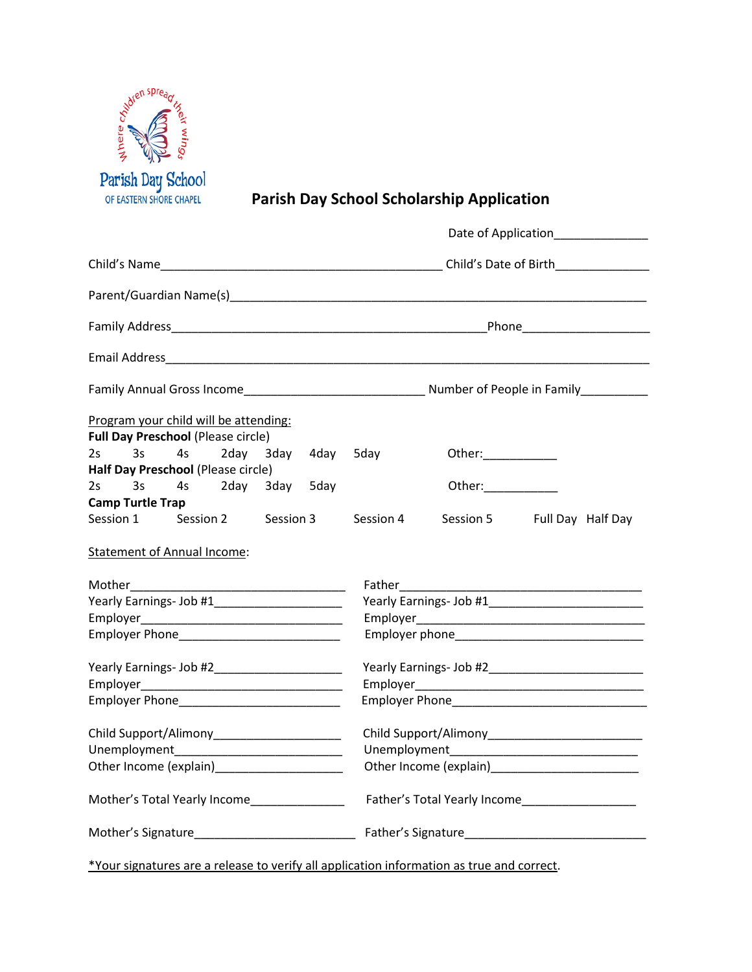

**Parish Day School Scholarship Application**<br>
OF EASTERN SHORE CHAPEL **Parish Day School Scholarship Application** 

|                                                                                    | Date of Application<br>Late of Application                                                |  |
|------------------------------------------------------------------------------------|-------------------------------------------------------------------------------------------|--|
|                                                                                    |                                                                                           |  |
|                                                                                    |                                                                                           |  |
|                                                                                    |                                                                                           |  |
|                                                                                    |                                                                                           |  |
|                                                                                    |                                                                                           |  |
| Program your child will be attending:<br><b>Full Day Preschool (Please circle)</b> |                                                                                           |  |
| 2s 3s 4s 2day 3day 4day 5day                                                       |                                                                                           |  |
| Half Day Preschool (Please circle)                                                 |                                                                                           |  |
| 2s<br>3s 4s 2day 3day 5day                                                         |                                                                                           |  |
| <b>Camp Turtle Trap</b>                                                            |                                                                                           |  |
| Session 1 Session 2 Session 3                                                      | Session 4<br>Session 5 Full Day Half Day                                                  |  |
| <b>Statement of Annual Income:</b>                                                 |                                                                                           |  |
| Mother                                                                             | Father_________                                                                           |  |
|                                                                                    |                                                                                           |  |
|                                                                                    |                                                                                           |  |
|                                                                                    |                                                                                           |  |
|                                                                                    |                                                                                           |  |
|                                                                                    |                                                                                           |  |
|                                                                                    |                                                                                           |  |
|                                                                                    |                                                                                           |  |
|                                                                                    |                                                                                           |  |
|                                                                                    |                                                                                           |  |
| Mother's Total Yearly Income______________                                         | Father's Total Yearly Income__________________                                            |  |
|                                                                                    |                                                                                           |  |
|                                                                                    | *Your signatures are a release to verify all application information as true and correct. |  |